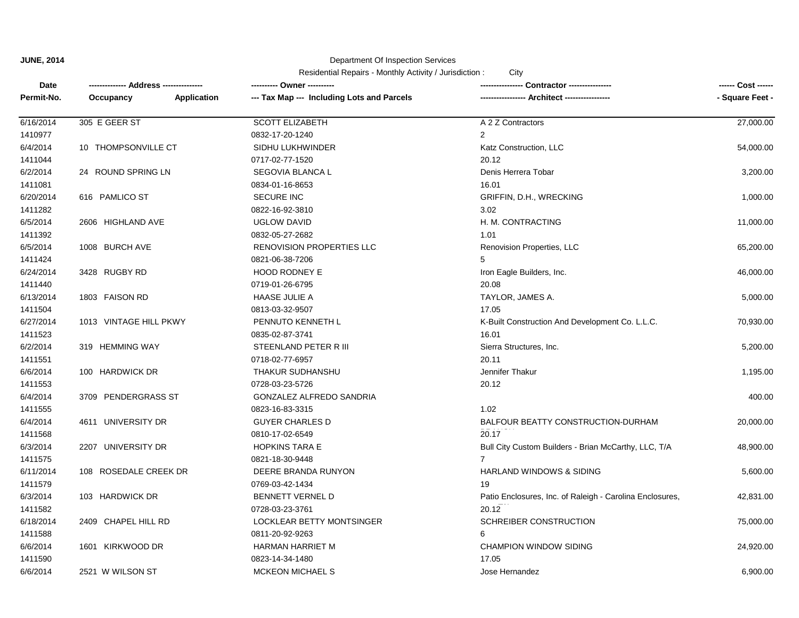Residential Repairs - Monthly Activity / Jurisdiction : City

| <b>Date</b> |                          | ---------- Owner ----------                | Contractor ----------------                              |                 |
|-------------|--------------------------|--------------------------------------------|----------------------------------------------------------|-----------------|
| Permit-No.  | Application<br>Occupancy | --- Tax Map --- Including Lots and Parcels | - Architect -----                                        | - Square Feet - |
| 6/16/2014   | 305 E GEER ST            | <b>SCOTT ELIZABETH</b>                     | A 2 Z Contractors                                        | 27,000.00       |
| 1410977     |                          | 0832-17-20-1240                            | $\overline{2}$                                           |                 |
| 6/4/2014    | 10 THOMPSONVILLE CT      | SIDHU LUKHWINDER                           | Katz Construction, LLC                                   | 54,000.00       |
| 1411044     |                          | 0717-02-77-1520                            | 20.12                                                    |                 |
| 6/2/2014    | 24 ROUND SPRING LN       | SEGOVIA BLANCA L                           | Denis Herrera Tobar                                      | 3,200.00        |
| 1411081     |                          | 0834-01-16-8653                            | 16.01                                                    |                 |
| 6/20/2014   | 616 PAMLICO ST           | <b>SECURE INC</b>                          | GRIFFIN, D.H., WRECKING                                  | 1,000.00        |
| 1411282     |                          | 0822-16-92-3810                            | 3.02                                                     |                 |
| 6/5/2014    | 2606 HIGHLAND AVE        | <b>UGLOW DAVID</b>                         | H. M. CONTRACTING                                        | 11,000.00       |
| 1411392     |                          | 0832-05-27-2682                            | 1.01                                                     |                 |
| 6/5/2014    | 1008 BURCH AVE           | <b>RENOVISION PROPERTIES LLC</b>           | Renovision Properties, LLC                               | 65,200.00       |
| 1411424     |                          | 0821-06-38-7206                            |                                                          |                 |
| 6/24/2014   | 3428 RUGBY RD            | <b>HOOD RODNEY E</b>                       | Iron Eagle Builders, Inc.                                | 46,000.00       |
| 1411440     |                          | 0719-01-26-6795                            | 20.08                                                    |                 |
| 6/13/2014   | 1803 FAISON RD           | <b>HAASE JULIE A</b>                       | TAYLOR, JAMES A.                                         | 5,000.00        |
| 1411504     |                          | 0813-03-32-9507                            | 17.05                                                    |                 |
| 6/27/2014   | 1013 VINTAGE HILL PKWY   | PENNUTO KENNETH L                          | K-Built Construction And Development Co. L.L.C.          | 70,930.00       |
| 1411523     |                          | 0835-02-87-3741                            | 16.01                                                    |                 |
| 6/2/2014    | 319 HEMMING WAY          | STEENLAND PETER R III                      | Sierra Structures, Inc.                                  | 5,200.00        |
| 1411551     |                          | 0718-02-77-6957                            | 20.11                                                    |                 |
| 6/6/2014    | 100 HARDWICK DR          | THAKUR SUDHANSHU                           | Jennifer Thakur                                          | 1,195.00        |
| 1411553     |                          | 0728-03-23-5726                            | 20.12                                                    |                 |
| 6/4/2014    | 3709 PENDERGRASS ST      | GONZALEZ ALFREDO SANDRIA                   |                                                          | 400.00          |
| 1411555     |                          | 0823-16-83-3315                            | 1.02                                                     |                 |
| 6/4/2014    | 4611 UNIVERSITY DR       | <b>GUYER CHARLES D</b>                     | BALFOUR BEATTY CONSTRUCTION-DURHAM                       | 20,000.00       |
| 1411568     |                          | 0810-17-02-6549                            | 20.17                                                    |                 |
| 6/3/2014    | 2207 UNIVERSITY DR       | <b>HOPKINS TARA E</b>                      | Bull City Custom Builders - Brian McCarthy, LLC, T/A     | 48,900.00       |
| 1411575     |                          | 0821-18-30-9448                            | 7                                                        |                 |
| 6/11/2014   | 108 ROSEDALE CREEK DR    | DEERE BRANDA RUNYON                        | HARLAND WINDOWS & SIDING                                 | 5,600.00        |
| 1411579     |                          | 0769-03-42-1434                            | 19                                                       |                 |
| 6/3/2014    | 103 HARDWICK DR          | <b>BENNETT VERNEL D</b>                    | Patio Enclosures, Inc. of Raleigh - Carolina Enclosures, | 42,831.00       |
| 1411582     |                          | 0728-03-23-3761                            | 20.12                                                    |                 |
| 6/18/2014   | 2409 CHAPEL HILL RD      | LOCKLEAR BETTY MONTSINGER                  | SCHREIBER CONSTRUCTION                                   | 75,000.00       |
| 1411588     |                          | 0811-20-92-9263                            | 6                                                        |                 |
| 6/6/2014    | 1601 KIRKWOOD DR         | <b>HARMAN HARRIET M</b>                    | <b>CHAMPION WINDOW SIDING</b>                            | 24,920.00       |
| 1411590     |                          | 0823-14-34-1480                            | 17.05                                                    |                 |
| 6/6/2014    | 2521 W WILSON ST         | <b>MCKEON MICHAEL S</b>                    | Jose Hernandez                                           | 6,900.00        |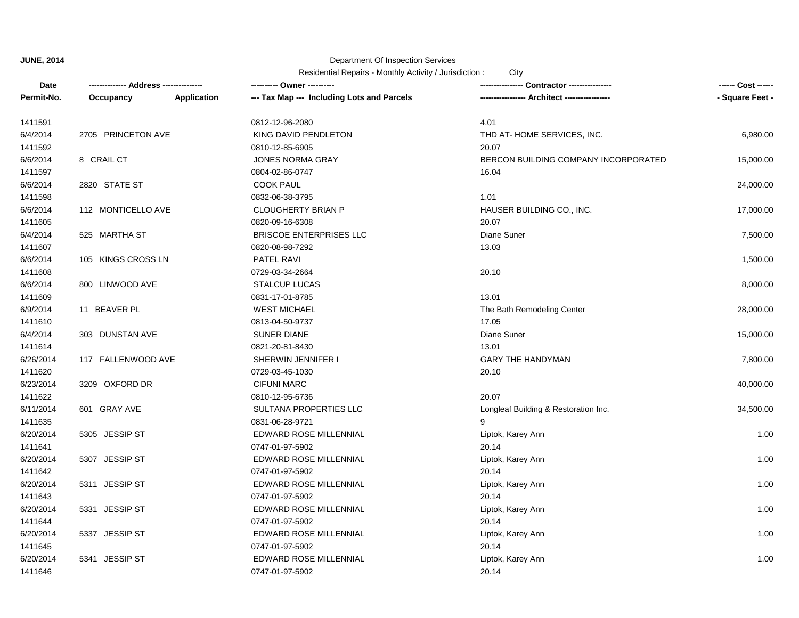| Date       | -------------- Address --------------- |             | ---------- Owner ----------                |                                      |                 |
|------------|----------------------------------------|-------------|--------------------------------------------|--------------------------------------|-----------------|
| Permit-No. | Occupancy                              | Application | --- Tax Map --- Including Lots and Parcels |                                      | - Square Feet - |
| 1411591    |                                        |             | 0812-12-96-2080                            | 4.01                                 |                 |
| 6/4/2014   | 2705 PRINCETON AVE                     |             | KING DAVID PENDLETON                       | THD AT-HOME SERVICES, INC.           | 6,980.00        |
| 1411592    |                                        |             | 0810-12-85-6905                            | 20.07                                |                 |
| 6/6/2014   | 8 CRAIL CT                             |             | <b>JONES NORMA GRAY</b>                    | BERCON BUILDING COMPANY INCORPORATED | 15,000.00       |
| 1411597    |                                        |             | 0804-02-86-0747                            | 16.04                                |                 |
| 6/6/2014   | 2820 STATE ST                          |             | <b>COOK PAUL</b>                           |                                      | 24,000.00       |
| 1411598    |                                        |             | 0832-06-38-3795                            | 1.01                                 |                 |
| 6/6/2014   | 112 MONTICELLO AVE                     |             | <b>CLOUGHERTY BRIAN P</b>                  | HAUSER BUILDING CO., INC.            | 17,000.00       |
| 1411605    |                                        |             | 0820-09-16-6308                            | 20.07                                |                 |
| 6/4/2014   | 525 MARTHA ST                          |             | <b>BRISCOE ENTERPRISES LLC</b>             | Diane Suner                          | 7,500.00        |
| 1411607    |                                        |             | 0820-08-98-7292                            | 13.03                                |                 |
| 6/6/2014   | 105 KINGS CROSS LN                     |             | PATEL RAVI                                 |                                      | 1,500.00        |
| 1411608    |                                        |             | 0729-03-34-2664                            | 20.10                                |                 |
| 6/6/2014   | 800 LINWOOD AVE                        |             | <b>STALCUP LUCAS</b>                       |                                      | 8,000.00        |
| 1411609    |                                        |             | 0831-17-01-8785                            | 13.01                                |                 |
| 6/9/2014   | 11 BEAVER PL                           |             | <b>WEST MICHAEL</b>                        | The Bath Remodeling Center           | 28,000.00       |
| 1411610    |                                        |             | 0813-04-50-9737                            | 17.05                                |                 |
| 6/4/2014   | 303 DUNSTAN AVE                        |             | SUNER DIANE                                | Diane Suner                          | 15,000.00       |
| 1411614    |                                        |             | 0821-20-81-8430                            | 13.01                                |                 |
| 6/26/2014  | 117 FALLENWOOD AVE                     |             | SHERWIN JENNIFER I                         | <b>GARY THE HANDYMAN</b>             | 7,800.00        |
| 1411620    |                                        |             | 0729-03-45-1030                            | 20.10                                |                 |
| 6/23/2014  | 3209 OXFORD DR                         |             | <b>CIFUNI MARC</b>                         |                                      | 40,000.00       |
| 1411622    |                                        |             | 0810-12-95-6736                            | 20.07                                |                 |
| 6/11/2014  | 601 GRAY AVE                           |             | SULTANA PROPERTIES LLC                     | Longleaf Building & Restoration Inc. | 34,500.00       |
| 1411635    |                                        |             | 0831-06-28-9721                            | 9                                    |                 |
| 6/20/2014  | 5305 JESSIP ST                         |             | EDWARD ROSE MILLENNIAL                     | Liptok, Karey Ann                    | 1.00            |
| 1411641    |                                        |             | 0747-01-97-5902                            | 20.14                                |                 |
| 6/20/2014  | 5307 JESSIP ST                         |             | EDWARD ROSE MILLENNIAL                     | Liptok, Karey Ann                    | 1.00            |
| 1411642    |                                        |             | 0747-01-97-5902                            | 20.14                                |                 |
| 6/20/2014  | 5311 JESSIP ST                         |             | EDWARD ROSE MILLENNIAL                     | Liptok, Karey Ann                    | 1.00            |
| 1411643    |                                        |             | 0747-01-97-5902                            | 20.14                                |                 |
| 6/20/2014  | 5331 JESSIP ST                         |             | EDWARD ROSE MILLENNIAL                     | Liptok, Karey Ann                    | 1.00            |
| 1411644    |                                        |             | 0747-01-97-5902                            | 20.14                                |                 |
| 6/20/2014  | 5337 JESSIP ST                         |             | EDWARD ROSE MILLENNIAL                     | Liptok, Karey Ann                    | 1.00            |
| 1411645    |                                        |             | 0747-01-97-5902                            | 20.14                                |                 |
| 6/20/2014  | 5341 JESSIP ST                         |             | EDWARD ROSE MILLENNIAL                     | Liptok, Karey Ann                    | 1.00            |
| 1411646    |                                        |             | 0747-01-97-5902                            | 20.14                                |                 |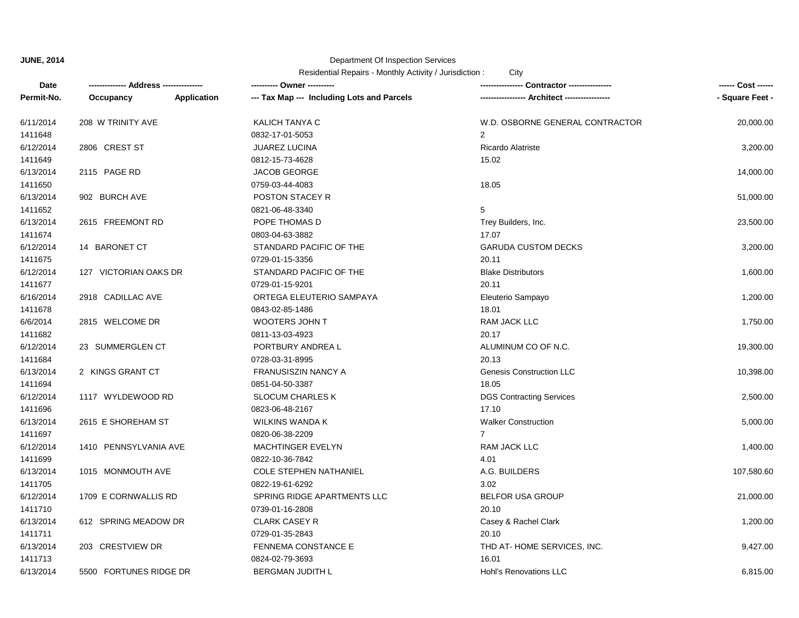| Date       |                        |             | ---------- Owner ----------                |                                 | ------ Cost ------ |
|------------|------------------------|-------------|--------------------------------------------|---------------------------------|--------------------|
| Permit-No. | Occupancy              | Application | --- Tax Map --- Including Lots and Parcels |                                 | - Square Feet -    |
| 6/11/2014  | 208 W TRINITY AVE      |             | KALICH TANYA C                             | W.D. OSBORNE GENERAL CONTRACTOR | 20,000.00          |
| 1411648    |                        |             | 0832-17-01-5053                            | $\overline{2}$                  |                    |
| 6/12/2014  | 2806 CREST ST          |             | <b>JUAREZ LUCINA</b>                       | Ricardo Alatriste               | 3,200.00           |
| 1411649    |                        |             | 0812-15-73-4628                            | 15.02                           |                    |
| 6/13/2014  | 2115 PAGE RD           |             | <b>JACOB GEORGE</b>                        |                                 | 14,000.00          |
| 1411650    |                        |             | 0759-03-44-4083                            | 18.05                           |                    |
| 6/13/2014  | 902 BURCH AVE          |             | POSTON STACEY R                            |                                 | 51,000.00          |
| 1411652    |                        |             | 0821-06-48-3340                            | 5                               |                    |
| 6/13/2014  | 2615 FREEMONT RD       |             | POPE THOMAS D                              | Trey Builders, Inc.             | 23,500.00          |
| 1411674    |                        |             | 0803-04-63-3882                            | 17.07                           |                    |
| 6/12/2014  | 14 BARONET CT          |             | STANDARD PACIFIC OF THE                    | <b>GARUDA CUSTOM DECKS</b>      | 3,200.00           |
| 1411675    |                        |             | 0729-01-15-3356                            | 20.11                           |                    |
| 6/12/2014  | 127 VICTORIAN OAKS DR  |             | STANDARD PACIFIC OF THE                    | <b>Blake Distributors</b>       | 1,600.00           |
| 1411677    |                        |             | 0729-01-15-9201                            | 20.11                           |                    |
| 6/16/2014  | 2918 CADILLAC AVE      |             | ORTEGA ELEUTERIO SAMPAYA                   | Eleuterio Sampayo               | 1,200.00           |
| 1411678    |                        |             | 0843-02-85-1486                            | 18.01                           |                    |
| 6/6/2014   | 2815 WELCOME DR        |             | WOOTERS JOHN T                             | RAM JACK LLC                    | 1,750.00           |
| 1411682    |                        |             | 0811-13-03-4923                            | 20.17                           |                    |
| 6/12/2014  | 23 SUMMERGLEN CT       |             | PORTBURY ANDREA L                          | ALUMINUM CO OF N.C.             | 19,300.00          |
| 1411684    |                        |             | 0728-03-31-8995                            | 20.13                           |                    |
| 6/13/2014  | 2 KINGS GRANT CT       |             | <b>FRANUSISZIN NANCY A</b>                 | <b>Genesis Construction LLC</b> | 10,398.00          |
| 1411694    |                        |             | 0851-04-50-3387                            | 18.05                           |                    |
| 6/12/2014  | 1117 WYLDEWOOD RD      |             | <b>SLOCUM CHARLES K</b>                    | <b>DGS Contracting Services</b> | 2,500.00           |
| 1411696    |                        |             | 0823-06-48-2167                            | 17.10                           |                    |
| 6/13/2014  | 2615 E SHOREHAM ST     |             | <b>WILKINS WANDA K</b>                     | <b>Walker Construction</b>      | 5,000.00           |
| 1411697    |                        |             | 0820-06-38-2209                            | $\overline{7}$                  |                    |
| 6/12/2014  | 1410 PENNSYLVANIA AVE  |             | MACHTINGER EVELYN                          | RAM JACK LLC                    | 1,400.00           |
| 1411699    |                        |             | 0822-10-36-7842                            | 4.01                            |                    |
| 6/13/2014  | 1015 MONMOUTH AVE      |             | <b>COLE STEPHEN NATHANIEL</b>              | A.G. BUILDERS                   | 107,580.60         |
| 1411705    |                        |             | 0822-19-61-6292                            | 3.02                            |                    |
| 6/12/2014  | 1709 E CORNWALLIS RD   |             | SPRING RIDGE APARTMENTS LLC                | <b>BELFOR USA GROUP</b>         | 21,000.00          |
| 1411710    |                        |             | 0739-01-16-2808                            | 20.10                           |                    |
| 6/13/2014  | 612 SPRING MEADOW DR   |             | <b>CLARK CASEY R</b>                       | Casey & Rachel Clark            | 1,200.00           |
| 1411711    |                        |             | 0729-01-35-2843                            | 20.10                           |                    |
| 6/13/2014  | 203 CRESTVIEW DR       |             | FENNEMA CONSTANCE E                        | THD AT-HOME SERVICES, INC.      | 9,427.00           |
| 1411713    |                        |             | 0824-02-79-3693                            | 16.01                           |                    |
| 6/13/2014  | 5500 FORTUNES RIDGE DR |             | <b>BERGMAN JUDITH L</b>                    | Hohl's Renovations LLC          | 6,815.00           |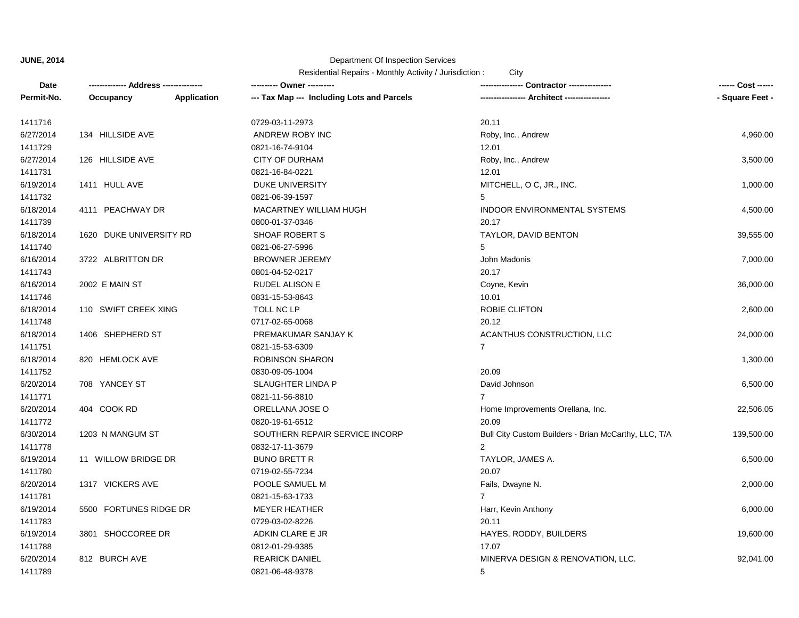| Date       | -------------- Address --------------- |             | ---------- Owner ----------                |                                                      | ------ Cost ------ |
|------------|----------------------------------------|-------------|--------------------------------------------|------------------------------------------------------|--------------------|
| Permit-No. | Occupancy                              | Application | --- Tax Map --- Including Lots and Parcels |                                                      | - Square Feet -    |
| 1411716    |                                        |             | 0729-03-11-2973                            | 20.11                                                |                    |
| 6/27/2014  | 134 HILLSIDE AVE                       |             | ANDREW ROBY INC                            | Roby, Inc., Andrew                                   | 4,960.00           |
| 1411729    |                                        |             | 0821-16-74-9104                            | 12.01                                                |                    |
| 6/27/2014  | 126 HILLSIDE AVE                       |             | <b>CITY OF DURHAM</b>                      | Roby, Inc., Andrew                                   | 3,500.00           |
| 1411731    |                                        |             | 0821-16-84-0221                            | 12.01                                                |                    |
| 6/19/2014  | 1411 HULL AVE                          |             | DUKE UNIVERSITY                            | MITCHELL, O C, JR., INC.                             | 1,000.00           |
| 1411732    |                                        |             | 0821-06-39-1597                            | 5                                                    |                    |
| 6/18/2014  | 4111 PEACHWAY DR                       |             | MACARTNEY WILLIAM HUGH                     | INDOOR ENVIRONMENTAL SYSTEMS                         | 4,500.00           |
| 1411739    |                                        |             | 0800-01-37-0346                            | 20.17                                                |                    |
| 6/18/2014  | 1620 DUKE UNIVERSITY RD                |             | SHOAF ROBERT S                             | TAYLOR, DAVID BENTON                                 | 39,555.00          |
| 1411740    |                                        |             | 0821-06-27-5996                            | 5                                                    |                    |
| 6/16/2014  | 3722 ALBRITTON DR                      |             | <b>BROWNER JEREMY</b>                      | John Madonis                                         | 7,000.00           |
| 1411743    |                                        |             | 0801-04-52-0217                            | 20.17                                                |                    |
| 6/16/2014  | 2002 E MAIN ST                         |             | <b>RUDEL ALISON E</b>                      | Coyne, Kevin                                         | 36,000.00          |
| 1411746    |                                        |             | 0831-15-53-8643                            | 10.01                                                |                    |
| 6/18/2014  | 110 SWIFT CREEK XING                   |             | TOLL NC LP                                 | ROBIE CLIFTON                                        | 2,600.00           |
| 1411748    |                                        |             | 0717-02-65-0068                            | 20.12                                                |                    |
| 6/18/2014  | 1406 SHEPHERD ST                       |             | PREMAKUMAR SANJAY K                        | ACANTHUS CONSTRUCTION, LLC                           | 24,000.00          |
| 1411751    |                                        |             | 0821-15-53-6309                            | $\overline{7}$                                       |                    |
| 6/18/2014  | 820 HEMLOCK AVE                        |             | <b>ROBINSON SHARON</b>                     |                                                      | 1,300.00           |
| 1411752    |                                        |             | 0830-09-05-1004                            | 20.09                                                |                    |
| 6/20/2014  | 708 YANCEY ST                          |             | SLAUGHTER LINDA P                          | David Johnson                                        | 6,500.00           |
| 1411771    |                                        |             | 0821-11-56-8810                            | $\overline{7}$                                       |                    |
| 6/20/2014  | 404 COOK RD                            |             | ORELLANA JOSE O                            | Home Improvements Orellana, Inc.                     | 22,506.05          |
| 1411772    |                                        |             | 0820-19-61-6512                            | 20.09                                                |                    |
| 6/30/2014  | 1203 N MANGUM ST                       |             | SOUTHERN REPAIR SERVICE INCORP             | Bull City Custom Builders - Brian McCarthy, LLC, T/A | 139,500.00         |
| 1411778    |                                        |             | 0832-17-11-3679                            | 2                                                    |                    |
| 6/19/2014  | 11 WILLOW BRIDGE DR                    |             | <b>BUNO BRETT R</b>                        | TAYLOR, JAMES A.                                     | 6,500.00           |
| 1411780    |                                        |             | 0719-02-55-7234                            | 20.07                                                |                    |
| 6/20/2014  | 1317 VICKERS AVE                       |             | POOLE SAMUEL M                             | Fails, Dwayne N.                                     | 2,000.00           |
| 1411781    |                                        |             | 0821-15-63-1733                            |                                                      |                    |
| 6/19/2014  | 5500 FORTUNES RIDGE DR                 |             | <b>MEYER HEATHER</b>                       | Harr, Kevin Anthony                                  | 6,000.00           |
| 1411783    |                                        |             | 0729-03-02-8226                            | 20.11                                                |                    |
| 6/19/2014  | 3801 SHOCCOREE DR                      |             | ADKIN CLARE E JR                           | HAYES, RODDY, BUILDERS                               | 19,600.00          |
| 1411788    |                                        |             | 0812-01-29-9385                            | 17.07                                                |                    |
| 6/20/2014  | 812 BURCH AVE                          |             | <b>REARICK DANIEL</b>                      | MINERVA DESIGN & RENOVATION, LLC.                    | 92,041.00          |
| 1411789    |                                        |             | 0821-06-48-9378                            | 5                                                    |                    |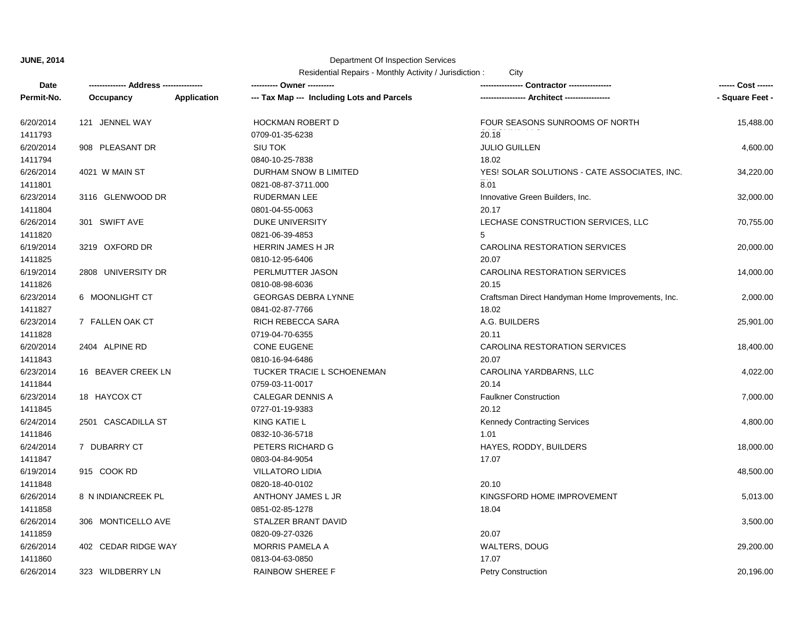| Date       | -------------- Address ---------- |             |                                            |                                                   | ------ Cost ------ |
|------------|-----------------------------------|-------------|--------------------------------------------|---------------------------------------------------|--------------------|
| Permit-No. | Occupancy                         | Application | --- Tax Map --- Including Lots and Parcels |                                                   | - Square Feet -    |
| 6/20/2014  | 121 JENNEL WAY                    |             | <b>HOCKMAN ROBERT D</b>                    | FOUR SEASONS SUNROOMS OF NORTH                    | 15,488.00          |
| 1411793    |                                   |             | 0709-01-35-6238                            | $20.\overline{18}$                                |                    |
| 6/20/2014  | 908 PLEASANT DR                   |             | SIU TOK                                    | <b>JULIO GUILLEN</b>                              | 4,600.00           |
| 1411794    |                                   |             | 0840-10-25-7838                            | 18.02                                             |                    |
| 6/26/2014  | 4021 W MAIN ST                    |             | DURHAM SNOW B LIMITED                      | YES! SOLAR SOLUTIONS - CATE ASSOCIATES, INC.      | 34,220.00          |
| 1411801    |                                   |             | 0821-08-87-3711.000                        | 8.01                                              |                    |
| 6/23/2014  | 3116 GLENWOOD DR                  |             | <b>RUDERMAN LEE</b>                        | Innovative Green Builders, Inc.                   | 32,000.00          |
| 1411804    |                                   |             | 0801-04-55-0063                            | 20.17                                             |                    |
| 6/26/2014  | 301 SWIFT AVE                     |             | DUKE UNIVERSITY                            | LECHASE CONSTRUCTION SERVICES, LLC                | 70,755.00          |
| 1411820    |                                   |             | 0821-06-39-4853                            | 5                                                 |                    |
| 6/19/2014  | 3219 OXFORD DR                    |             | <b>HERRIN JAMES H JR</b>                   | CAROLINA RESTORATION SERVICES                     | 20,000.00          |
| 1411825    |                                   |             | 0810-12-95-6406                            | 20.07                                             |                    |
| 6/19/2014  | 2808 UNIVERSITY DR                |             | PERLMUTTER JASON                           | CAROLINA RESTORATION SERVICES                     | 14,000.00          |
| 1411826    |                                   |             | 0810-08-98-6036                            | 20.15                                             |                    |
| 6/23/2014  | 6 MOONLIGHT CT                    |             | <b>GEORGAS DEBRA LYNNE</b>                 | Craftsman Direct Handyman Home Improvements, Inc. | 2,000.00           |
| 1411827    |                                   |             | 0841-02-87-7766                            | 18.02                                             |                    |
| 6/23/2014  | 7 FALLEN OAK CT                   |             | RICH REBECCA SARA                          | A.G. BUILDERS                                     | 25,901.00          |
| 1411828    |                                   |             | 0719-04-70-6355                            | 20.11                                             |                    |
| 6/20/2014  | 2404 ALPINE RD                    |             | <b>CONE EUGENE</b>                         | CAROLINA RESTORATION SERVICES                     | 18,400.00          |
| 1411843    |                                   |             | 0810-16-94-6486                            | 20.07                                             |                    |
| 6/23/2014  | 16 BEAVER CREEK LN                |             | TUCKER TRACIE L SCHOENEMAN                 | CAROLINA YARDBARNS, LLC                           | 4,022.00           |
| 1411844    |                                   |             | 0759-03-11-0017                            | 20.14                                             |                    |
| 6/23/2014  | 18 HAYCOX CT                      |             | <b>CALEGAR DENNIS A</b>                    | <b>Faulkner Construction</b>                      | 7,000.00           |
| 1411845    |                                   |             | 0727-01-19-9383                            | 20.12                                             |                    |
| 6/24/2014  | 2501 CASCADILLA ST                |             | KING KATIE L                               | <b>Kennedy Contracting Services</b>               | 4,800.00           |
| 1411846    |                                   |             | 0832-10-36-5718                            | 1.01                                              |                    |
| 6/24/2014  | 7 DUBARRY CT                      |             | PETERS RICHARD G                           | HAYES, RODDY, BUILDERS                            | 18,000.00          |
| 1411847    |                                   |             | 0803-04-84-9054                            | 17.07                                             |                    |
| 6/19/2014  | 915 COOK RD                       |             | <b>VILLATORO LIDIA</b>                     |                                                   | 48,500.00          |
| 1411848    |                                   |             | 0820-18-40-0102                            | 20.10                                             |                    |
| 6/26/2014  | 8 N INDIANCREEK PL                |             | ANTHONY JAMES L JR                         | KINGSFORD HOME IMPROVEMENT                        | 5,013.00           |
| 1411858    |                                   |             | 0851-02-85-1278                            | 18.04                                             |                    |
| 6/26/2014  | 306 MONTICELLO AVE                |             | STALZER BRANT DAVID                        |                                                   | 3,500.00           |
| 1411859    |                                   |             | 0820-09-27-0326                            | 20.07                                             |                    |
| 6/26/2014  | 402 CEDAR RIDGE WAY               |             | <b>MORRIS PAMELA A</b>                     | WALTERS, DOUG                                     | 29,200.00          |
| 1411860    |                                   |             | 0813-04-63-0850                            | 17.07                                             |                    |
| 6/26/2014  | 323 WILDBERRY LN                  |             | RAINBOW SHEREE F                           | <b>Petry Construction</b>                         | 20,196.00          |